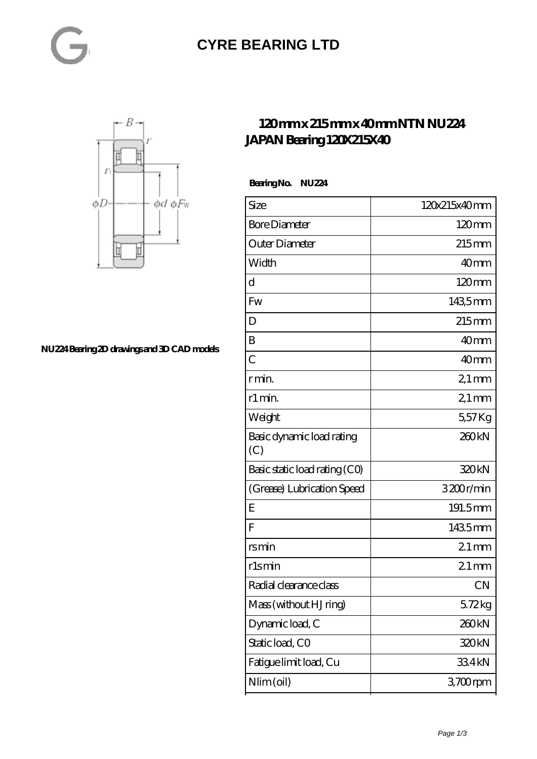#### **[CYRE BEARING LTD](https://kxt-bearing.com)**



**[NU224 Bearing 2D drawings and 3D CAD models](https://kxt-bearing.com/pic-315261.html)**

#### **[120 mm x 215 mm x 40 mm NTN NU224](https://kxt-bearing.com/be-315261-ntn-nu224-japan-bearing-120x215x40.html) [JAPAN Bearing 120X215X40](https://kxt-bearing.com/be-315261-ntn-nu224-japan-bearing-120x215x40.html)**

 **Bearing No. NU224**

| Size                             | 120x215x40mm        |
|----------------------------------|---------------------|
| <b>Bore Diameter</b>             | $120 \text{mm}$     |
| Outer Diameter                   | $215$ <sub>mm</sub> |
| Width                            | 40 <sub>mm</sub>    |
| d                                | $120 \text{mm}$     |
| Fw                               | 1435mm              |
| D                                | $215$ mm            |
| B                                | 40 <sub>mm</sub>    |
| $\overline{C}$                   | 40 <sub>mm</sub>    |
| r min.                           | $21 \,\mathrm{mm}$  |
| r1 min.                          | $21 \,\mathrm{mm}$  |
| Weight                           | 557Kg               |
| Basic dynamic load rating<br>(C) | 260 <sub>kN</sub>   |
| Basic static load rating (CO)    | 320kN               |
| (Grease) Lubrication Speed       | 3200r/min           |
| E                                | 191.5mm             |
| $\overline{F}$                   | 1435mm              |
| rsmin                            | $21 \,\mathrm{mm}$  |
| r1smin                           | $21$ mm             |
| Radial clearance class           | <b>CN</b>           |
| Mass (without HJ ring)           | 5.72kg              |
| Dynamic load, C                  | 260 <sub>kN</sub>   |
| Static load, CO                  | 320kN               |
| Fatigue limit load, Cu           | 334kN               |
| Nlim (oil)                       | 3700rpm             |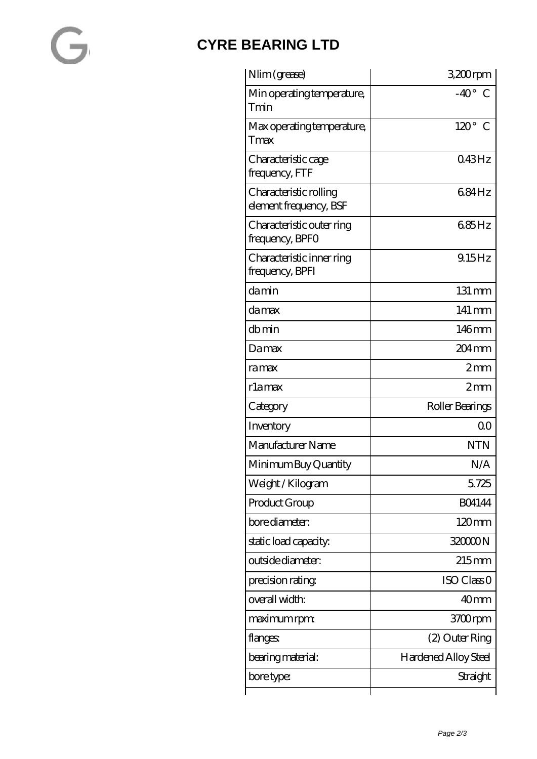### **[CYRE BEARING LTD](https://kxt-bearing.com)**

| Nlim (grease)                                    | 3,200rpm                    |
|--------------------------------------------------|-----------------------------|
| Min operating temperature,<br>Tmin               | $-40^\circ$ C               |
| Max operating temperature,<br>Tmax               | $120^\circ$ C               |
| Characteristic cage<br>frequency, FTF            | 043Hz                       |
| Characteristic rolling<br>element frequency, BSF | 684Hz                       |
| Characteristic outer ring<br>frequency, BPFO     | 685Hz                       |
| Characteristic inner ring<br>frequency, BPFI     | 9.15Hz                      |
| damin                                            | $131 \text{ mm}$            |
| da max                                           | $141 \,\mathrm{mm}$         |
| dbmin                                            | 146mm                       |
| Damax                                            | 204 <sub>mm</sub>           |
| ramax                                            | 2mm                         |
| rlamax                                           | 2mm                         |
| Category                                         | Roller Bearings             |
| Inventory                                        | Q0                          |
| Manufacturer Name                                | <b>NTN</b>                  |
| Minimum Buy Quantity                             | N/A                         |
| Weight/Kilogram                                  | 5.725                       |
| Product Group                                    | <b>BO4144</b>               |
| bore diameter:                                   | $120 \text{mm}$             |
| static load capacity.                            | 32000N                      |
| outside diameter:                                | $215$ mm                    |
| precision rating                                 | ISO Class <sub>O</sub>      |
| overall width:                                   | 40 <sub>mm</sub>            |
| maximum rpm:                                     | 3700rpm                     |
| flanges:                                         | (2) Outer Ring              |
| bearing material:                                | <b>Hardened Alloy Steel</b> |
| bore type:                                       | Straight                    |
|                                                  |                             |